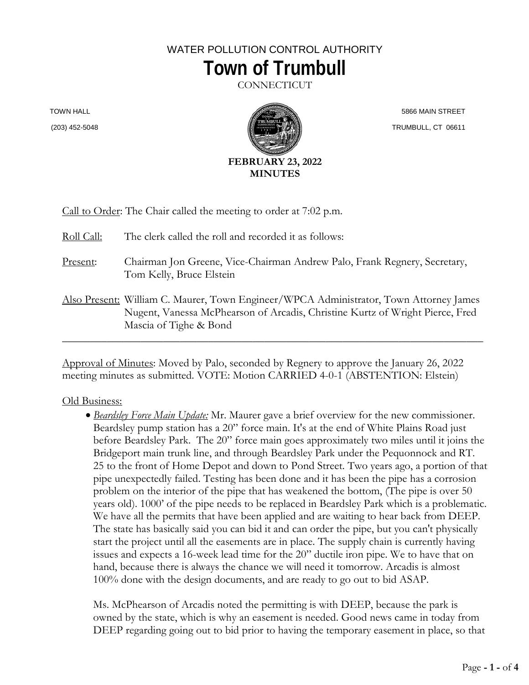## WATER POLLUTION CONTROL AUTHORITY **Town of Trumbull**

**CONNECTICUT** 

TOWN HALL (203) 452-5048



 5866 MAIN STREET TRUMBULL, CT 06611

|  |  | Call to Order: The Chair called the meeting to order at 7:02 p.m. |
|--|--|-------------------------------------------------------------------|
|  |  |                                                                   |

| Roll Call: | The clerk called the roll and recorded it as follows:                                                                                                                                             |
|------------|---------------------------------------------------------------------------------------------------------------------------------------------------------------------------------------------------|
| Present:   | Chairman Jon Greene, Vice-Chairman Andrew Palo, Frank Regnery, Secretary,<br>Tom Kelly, Bruce Elstein                                                                                             |
|            | Also Present: William C. Maurer, Town Engineer/WPCA Administrator, Town Attorney James<br>Nugent, Vanessa McPhearson of Arcadis, Christine Kurtz of Wright Pierce, Fred<br>Mascia of Tighe & Bond |

Approval of Minutes: Moved by Palo, seconded by Regnery to approve the January 26, 2022 meeting minutes as submitted. VOTE: Motion CARRIED 4-0-1 (ABSTENTION: Elstein)

## Old Business:

• *Beardsley Force Main Update:* Mr. Maurer gave a brief overview for the new commissioner. Beardsley pump station has a 20" force main. It's at the end of White Plains Road just before Beardsley Park. The 20" force main goes approximately two miles until it joins the Bridgeport main trunk line, and through Beardsley Park under the Pequonnock and RT. 25 to the front of Home Depot and down to Pond Street. Two years ago, a portion of that pipe unexpectedly failed. Testing has been done and it has been the pipe has a corrosion problem on the interior of the pipe that has weakened the bottom, (The pipe is over 50 years old). 1000' of the pipe needs to be replaced in Beardsley Park which is a problematic. We have all the permits that have been applied and are waiting to hear back from DEEP. The state has basically said you can bid it and can order the pipe, but you can't physically start the project until all the easements are in place. The supply chain is currently having issues and expects a 16-week lead time for the 20" ductile iron pipe. We to have that on hand, because there is always the chance we will need it tomorrow. Arcadis is almost 100% done with the design documents, and are ready to go out to bid ASAP.

Ms. McPhearson of Arcadis noted the permitting is with DEEP, because the park is owned by the state, which is why an easement is needed. Good news came in today from DEEP regarding going out to bid prior to having the temporary easement in place, so that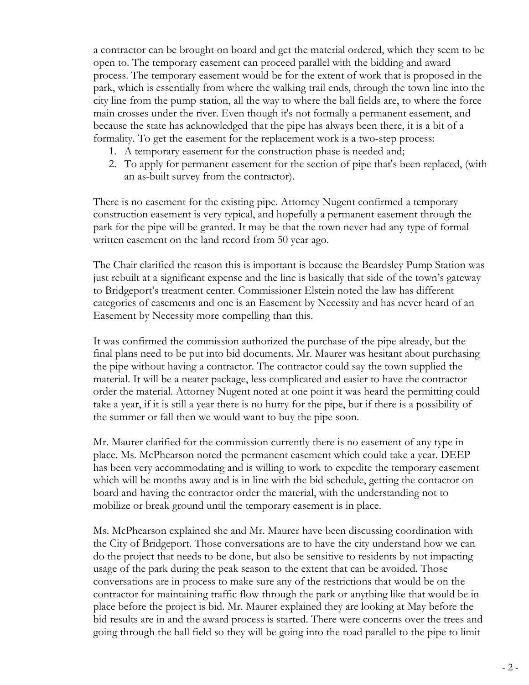a contractor can be brought on board and get the material ordered, which they seem to be open to. The temporary easement can proceed parallel with the bidding and award process. The temporary easement would be for the extent of work that is proposed in the park, which is essentially from where the walking trail ends, through the town line into the city line from the pump station, all the way to where the ball fields are, to where the force main crosses under the river. Even though it's not formally a permanent easement, and because the state has acknowledged that the pipe has always been there, it is a bit of a formality. To get the easement for the replacement work is a two-step process:

- 1. A temporary easement for the construction phase is needed and;
- 2. To apply for permanent easement for the section of pipe that's been replaced, (with an as-built survey from the contractor).

There is no easement for the existing pipe. Attorney Nugent confirmed a temporary construction easement is very typical, and hopefully a permanent easement through the park for the pipe will be granted. It may be that the town never had any type of formal written easement on the land record from 50 year ago.

The Chair clarified the reason this is important is because the Beardsley Pump Station was just rebuilt at a significant expense and the line is basically that side of the town's gateway to Bridgeport's treatment center. Commissioner Elstein noted the law has different categories of easements and one is an Easement by Necessity and has never heard of an Easement by Necessity more compelling than this.

It was confirmed the commission authorized the purchase of the pipe already, but the final plans need to be put into bid documents. Mr. Maurer was hesitant about purchasing the pipe without having a contractor. The contractor could say the town supplied the material. It will be a neater package, less complicated and easier to have the contractor order the material. Attorney Nugent noted at one point it was heard the permitting could take a year, if it is still a year there is no hurry for the pipe, but if there is a possibility of the summer or fall then we would want to buy the pipe soon.

Mr. Maurer clarified for the commission currently there is no easement of any type in place. Ms. McPhearson noted the permanent easement which could take a year. DEEP has been very accommodating and is willing to work to expedite the temporary easement which will be months away and is in line with the bid schedule, getting the contactor on board and having the contractor order the material, with the understanding not to mobilize or break ground until the temporary easement is in place.

Ms. McPhearson explained she and Mr. Maurer have been discussing coordination with the City of Bridgeport. Those conversations are to have the city understand how we can do the project that needs to be done, but also be sensitive to residents by not impacting usage of the park during the peak season to the extent that can be avoided. Those conversations are in process to make sure any of the restrictions that would be on the contractor for maintaining traffic flow through the park or anything like that would be in place before the project is bid. Mr. Maurer explained they are looking at May before the bid results are in and the award process is started. There were concerns over the trees and going through the ball field so they will be going into the road parallel to the pipe to limit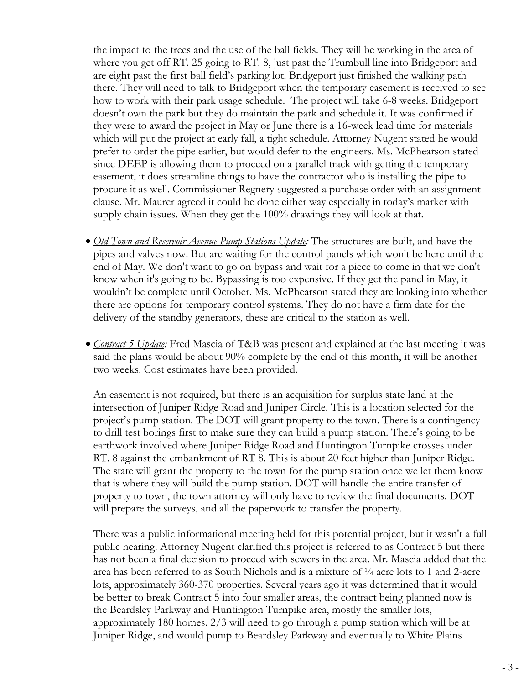the impact to the trees and the use of the ball fields. They will be working in the area of where you get off RT. 25 going to RT. 8, just past the Trumbull line into Bridgeport and are eight past the first ball field's parking lot. Bridgeport just finished the walking path there. They will need to talk to Bridgeport when the temporary easement is received to see how to work with their park usage schedule. The project will take 6-8 weeks. Bridgeport doesn't own the park but they do maintain the park and schedule it. It was confirmed if they were to award the project in May or June there is a 16-week lead time for materials which will put the project at early fall, a tight schedule. Attorney Nugent stated he would prefer to order the pipe earlier, but would defer to the engineers. Ms. McPhearson stated since DEEP is allowing them to proceed on a parallel track with getting the temporary easement, it does streamline things to have the contractor who is installing the pipe to procure it as well. Commissioner Regnery suggested a purchase order with an assignment clause. Mr. Maurer agreed it could be done either way especially in today's marker with supply chain issues. When they get the 100% drawings they will look at that.

- *Old Town and Reservoir Avenue Pump Stations Update:* The structures are built, and have the pipes and valves now. But are waiting for the control panels which won't be here until the end of May. We don't want to go on bypass and wait for a piece to come in that we don't know when it's going to be. Bypassing is too expensive. If they get the panel in May, it wouldn't be complete until October. Ms. McPhearson stated they are looking into whether there are options for temporary control systems. They do not have a firm date for the delivery of the standby generators, these are critical to the station as well.
- *Contract 5 Update:* Fred Mascia of T&B was present and explained at the last meeting it was said the plans would be about 90% complete by the end of this month, it will be another two weeks. Cost estimates have been provided.

An easement is not required, but there is an acquisition for surplus state land at the intersection of Juniper Ridge Road and Juniper Circle. This is a location selected for the project's pump station. The DOT will grant property to the town. There is a contingency to drill test borings first to make sure they can build a pump station. There's going to be earthwork involved where Juniper Ridge Road and Huntington Turnpike crosses under RT. 8 against the embankment of RT 8. This is about 20 feet higher than Juniper Ridge. The state will grant the property to the town for the pump station once we let them know that is where they will build the pump station. DOT will handle the entire transfer of property to town, the town attorney will only have to review the final documents. DOT will prepare the surveys, and all the paperwork to transfer the property.

There was a public informational meeting held for this potential project, but it wasn't a full public hearing. Attorney Nugent clarified this project is referred to as Contract 5 but there has not been a final decision to proceed with sewers in the area. Mr. Mascia added that the area has been referred to as South Nichols and is a mixture of ¼ acre lots to 1 and 2-acre lots, approximately 360-370 properties. Several years ago it was determined that it would be better to break Contract 5 into four smaller areas, the contract being planned now is the Beardsley Parkway and Huntington Turnpike area, mostly the smaller lots, approximately 180 homes. 2/3 will need to go through a pump station which will be at Juniper Ridge, and would pump to Beardsley Parkway and eventually to White Plains